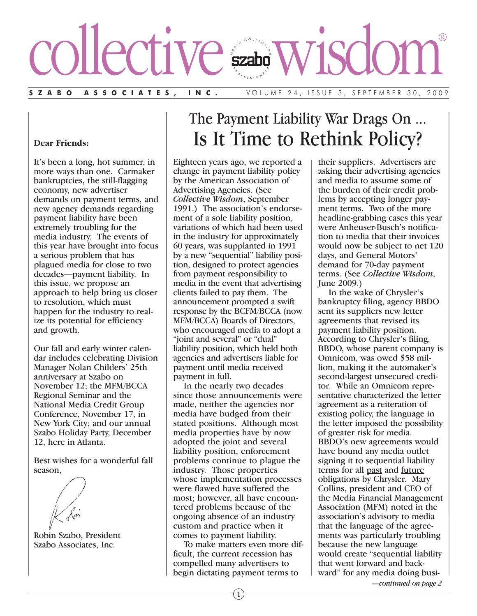# collective wisdom®

**SZABO ASSOCIATES, INC.** VOLUME 24, ISSUE 3, SEPTEMBER 30, 2009

## **Dear Friends:**

It's been a long, hot summer, in more ways than one. Carmaker bankruptcies, the still-flagging economy, new advertiser demands on payment terms, and new agency demands regarding payment liability have been extremely troubling for the media industry. The events of this year have brought into focus a serious problem that has plagued media for close to two decades—payment liability. In this issue, we propose an approach to help bring us closer to resolution, which must happen for the industry to realize its potential for efficiency and growth.

Our fall and early winter calendar includes celebrating Division Manager Nolan Childers' 25th anniversary at Szabo on November 12; the MFM/BCCA Regional Seminar and the National Media Credit Group Conference, November 17, in New York City; and our annual Szabo Holiday Party, December 12, here in Atlanta.

Best wishes for a wonderful fall season,

Robin Szabo, President Szabo Associates, Inc.

# The Payment Liability War Drags On ... Is It Time to Rethink Policy?

Eighteen years ago, we reported a change in payment liability policy by the American Association of Advertising Agencies. (See *Collective Wisdom*, September 1991.) The association's endorsement of a sole liability position, variations of which had been used in the industry for approximately 60 years, was supplanted in 1991 by a new "sequential" liability position, designed to protect agencies from payment responsibility to media in the event that advertising clients failed to pay them. The announcement prompted a swift response by the BCFM/BCCA (now MFM/BCCA) Boards of Directors, who encouraged media to adopt a "joint and several" or "dual" liability position, which held both agencies and advertisers liable for payment until media received payment in full.

In the nearly two decades since those announcements were made, neither the agencies nor media have budged from their stated positions. Although most media properties have by now adopted the joint and several liability position, enforcement problems continue to plague the industry. Those properties whose implementation processes were flawed have suffered the most; however, all have encountered problems because of the ongoing absence of an industry custom and practice when it comes to payment liability.

To make matters even more difficult, the current recession has compelled many advertisers to begin dictating payment terms to

their suppliers. Advertisers are asking their advertising agencies and media to assume some of the burden of their credit problems by accepting longer payment terms. Two of the more headline-grabbing cases this year were Anheuser-Busch's notification to media that their invoices would now be subject to net 120 days, and General Motors' demand for 70-day payment terms. (See *Collective Wisdom*, June 2009.)

In the wake of Chrysler's bankruptcy filing, agency BBDO sent its suppliers new letter agreements that revised its payment liability position. According to Chrysler's filing, BBDO, whose parent company is Omnicom, was owed \$58 million, making it the automaker's second-largest unsecured creditor. While an Omnicom representative characterized the letter agreement as a reiteration of existing policy, the language in the letter imposed the possibility of greater risk for media. BBDO's new agreements would have bound any media outlet signing it to sequential liability terms for all past and future obligations by Chrysler. Mary Collins, president and CEO of the Media Financial Management Association (MFM) noted in the association's advisory to media that the language of the agreements was particularly troubling because the new language would create "sequential liability that went forward and backward" for any media doing busi-

*—continued on page 2*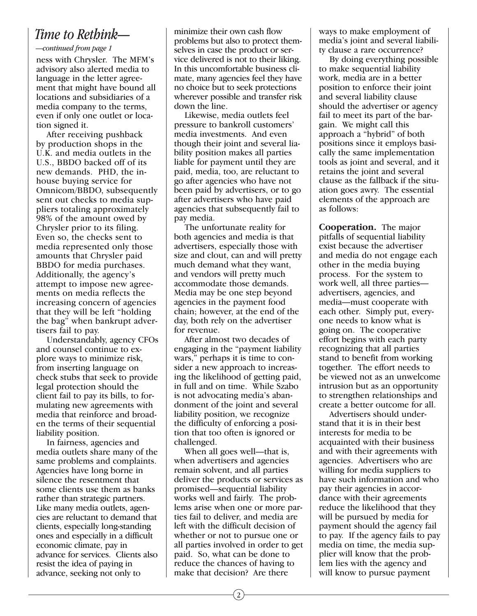# *Time to Rethink—*

## *—continued from page 1*

ness with Chrysler. The MFM's advisory also alerted media to language in the letter agreement that might have bound all locations and subsidiaries of a media company to the terms, even if only one outlet or location signed it.

After receiving pushback by production shops in the U.K. and media outlets in the U.S., BBDO backed off of its new demands. PHD, the inhouse buying service for Omnicom/BBDO, subsequently sent out checks to media suppliers totaling approximately 98% of the amount owed by Chrysler prior to its filing. Even so, the checks sent to media represented only those amounts that Chrysler paid BBDO for media purchases. Additionally, the agency's attempt to impose new agreements on media reflects the increasing concern of agencies that they will be left "holding the bag" when bankrupt advertisers fail to pay.

Understandably, agency CFOs and counsel continue to explore ways to minimize risk, from inserting language on check stubs that seek to provide legal protection should the client fail to pay its bills, to formulating new agreements with media that reinforce and broaden the terms of their sequential liability position.

In fairness, agencies and media outlets share many of the same problems and complaints. Agencies have long borne in silence the resentment that some clients use them as banks rather than strategic partners. Like many media outlets, agencies are reluctant to demand that clients, especially long-standing ones and especially in a difficult economic climate, pay in advance for services. Clients also resist the idea of paying in advance, seeking not only to

minimize their own cash flow problems but also to protect themselves in case the product or service delivered is not to their liking. In this uncomfortable business climate, many agencies feel they have no choice but to seek protections wherever possible and transfer risk down the line.

Likewise, media outlets feel pressure to bankroll customers' media investments. And even though their joint and several liability position makes all parties liable for payment until they are paid, media, too, are reluctant to go after agencies who have not been paid by advertisers, or to go after advertisers who have paid agencies that subsequently fail to pay media.

The unfortunate reality for both agencies and media is that advertisers, especially those with size and clout, can and will pretty much demand what they want, and vendors will pretty much accommodate those demands. Media may be one step beyond agencies in the payment food chain; however, at the end of the day, both rely on the advertiser for revenue.

After almost two decades of engaging in the "payment liability wars," perhaps it is time to consider a new approach to increasing the likelihood of getting paid, in full and on time. While Szabo is not advocating media's abandonment of the joint and several liability position, we recognize the difficulty of enforcing a position that too often is ignored or challenged.

When all goes well—that is, when advertisers and agencies remain solvent, and all parties deliver the products or services as promised—sequential liability works well and fairly. The problems arise when one or more parties fail to deliver, and media are left with the difficult decision of whether or not to pursue one or all parties involved in order to get paid. So, what can be done to reduce the chances of having to make that decision? Are there

ways to make employment of media's joint and several liability clause a rare occurrence?

By doing everything possible to make sequential liability work, media are in a better position to enforce their joint and several liability clause should the advertiser or agency fail to meet its part of the bargain. We might call this approach a "hybrid" of both positions since it employs basically the same implementation tools as joint and several, and it retains the joint and several clause as the fallback if the situation goes awry. The essential elements of the approach are as follows:

**Cooperation.** The major pitfalls of sequential liability exist because the advertiser and media do not engage each other in the media buying process. For the system to work well, all three parties advertisers, agencies, and media—must cooperate with each other. Simply put, everyone needs to know what is going on. The cooperative effort begins with each party recognizing that all parties stand to benefit from working together. The effort needs to be viewed not as an unwelcome intrusion but as an opportunity to strengthen relationships and create a better outcome for all.

Advertisers should understand that it is in their best interests for media to be acquainted with their business and with their agreements with agencies. Advertisers who are willing for media suppliers to have such information and who pay their agencies in accordance with their agreements reduce the likelihood that they will be pursued by media for payment should the agency fail to pay. If the agency fails to pay media on time, the media supplier will know that the problem lies with the agency and will know to pursue payment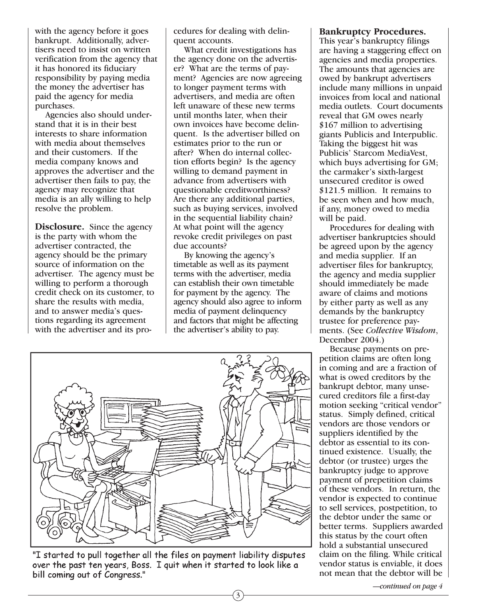with the agency before it goes bankrupt. Additionally, advertisers need to insist on written verification from the agency that it has honored its fiduciary responsibility by paying media the money the advertiser has paid the agency for media purchases.

Agencies also should understand that it is in their best interests to share information with media about themselves and their customers. If the media company knows and approves the advertiser and the advertiser then fails to pay, the agency may recognize that media is an ally willing to help resolve the problem.

**Disclosure.** Since the agency is the party with whom the advertiser contracted, the agency should be the primary source of information on the advertiser. The agency must be willing to perform a thorough credit check on its customer, to share the results with media, and to answer media's questions regarding its agreement with the advertiser and its procedures for dealing with delinquent accounts.

What credit investigations has the agency done on the advertiser? What are the terms of payment? Agencies are now agreeing to longer payment terms with advertisers, and media are often left unaware of these new terms until months later, when their own invoices have become delinquent. Is the advertiser billed on estimates prior to the run or after? When do internal collection efforts begin? Is the agency willing to demand payment in advance from advertisers with questionable creditworthiness? Are there any additional parties, such as buying services, involved in the sequential liability chain? At what point will the agency revoke credit privileges on past due accounts?

By knowing the agency's timetable as well as its payment terms with the advertiser, media can establish their own timetable for payment by the agency. The agency should also agree to inform media of payment delinquency and factors that might be affecting the advertiser's ability to pay.

3



"I started to pull together all the files on payment liability disputes over the past ten years, Boss. I quit when it started to look like a bill coming out of Congress."

### **Bankruptcy Procedures.**

This year's bankruptcy filings are having a staggering effect on agencies and media properties. The amounts that agencies are owed by bankrupt advertisers include many millions in unpaid invoices from local and national media outlets. Court documents reveal that GM owes nearly \$167 million to advertising giants Publicis and Interpublic. Taking the biggest hit was Publicis' Starcom MediaVest, which buys advertising for GM; the carmaker's sixth-largest unsecured creditor is owed \$121.5 million. It remains to be seen when and how much, if any, money owed to media will be paid.

Procedures for dealing with advertiser bankruptcies should be agreed upon by the agency and media supplier. If an advertiser files for bankruptcy, the agency and media supplier should immediately be made aware of claims and motions by either party as well as any demands by the bankruptcy trustee for preference payments. (See *Collective Wisdom*, December 2004.)

Because payments on prepetition claims are often long in coming and are a fraction of what is owed creditors by the bankrupt debtor, many unsecured creditors file a first-day motion seeking "critical vendor" status. Simply defined, critical vendors are those vendors or suppliers identified by the debtor as essential to its continued existence. Usually, the debtor (or trustee) urges the bankruptcy judge to approve payment of prepetition claims of these vendors. In return, the vendor is expected to continue to sell services, postpetition, to the debtor under the same or better terms. Suppliers awarded this status by the court often hold a substantial unsecured claim on the filing. While critical vendor status is enviable, it does not mean that the debtor will be